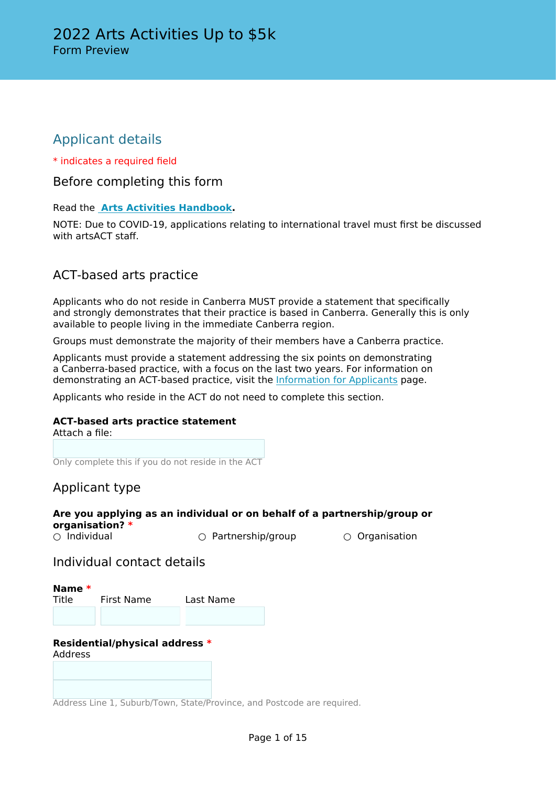## Applicant details

\* indicates a required field

Before completing this form

Read the **[Arts Activities Handbook](http://www.arts.act.gov.au/funding/arts-activities-funding).**

NOTE: Due to COVID-19, applications relating to international travel must first be discussed with artsACT staff.

## ACT-based arts practice

Applicants who do not reside in Canberra MUST provide a statement that specifically and strongly demonstrates that their practice is based in Canberra. Generally this is only available to people living in the immediate Canberra region.

Groups must demonstrate the majority of their members have a Canberra practice.

Applicants must provide a statement addressing the six points on demonstrating a Canberra-based practice, with a focus on the last two years. For information on demonstrating an ACT-based practice, visit the [Information for Applicants](http://www.arts.act.gov.au/funding/information-for-applicants) page.

Applicants who reside in the ACT do not need to complete this section.

#### **ACT-based arts practice statement**

Attach a file:

Only complete this if you do not reside in the ACT

## Applicant type

## **Are you applying as an individual or on behalf of a partnership/group or organisation? \***

○ Partnership/group ○ Organisation

### Individual contact details

**Name \*** Title First Name Last Name

#### **Residential/physical address \*** Address

Address Line 1, Suburb/Town, State/Province, and Postcode are required.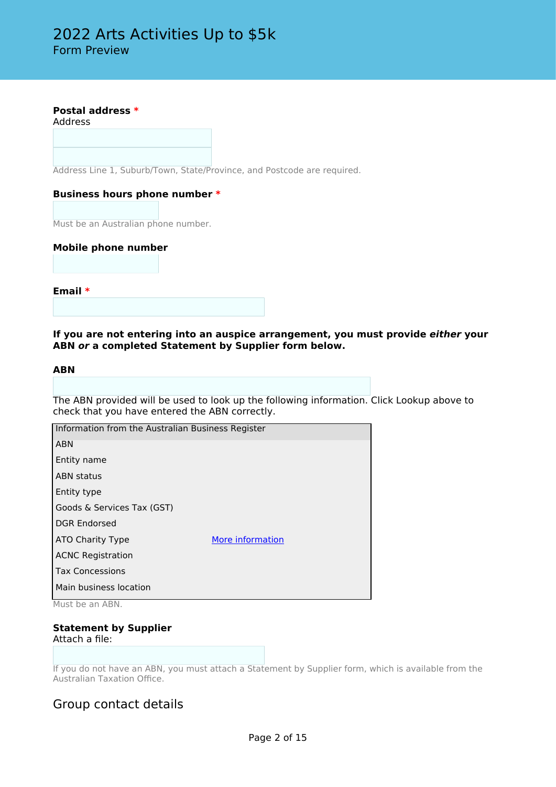#### **Postal address \***

Address

Address Line 1, Suburb/Town, State/Province, and Postcode are required.

#### **Business hours phone number \***

Must be an Australian phone number.

#### **Mobile phone number**

**Email \***

#### **If you are not entering into an auspice arrangement, you must provide** *either* **your ABN** *or* **a completed Statement by Supplier form below.**

#### **ABN**

The ABN provided will be used to look up the following information. Click Lookup above to check that you have entered the ABN correctly.

| Information from the Australian Business Register                      |                  |
|------------------------------------------------------------------------|------------------|
| <b>ABN</b>                                                             |                  |
| Entity name                                                            |                  |
| <b>ABN</b> status                                                      |                  |
| Entity type                                                            |                  |
| Goods & Services Tax (GST)                                             |                  |
| <b>DGR Endorsed</b>                                                    |                  |
| ATO Charity Type                                                       | More information |
| <b>ACNC Registration</b>                                               |                  |
| <b>Tax Concessions</b>                                                 |                  |
| Main business location<br>$A$ $A$ $A$ $A$ $A$<br>$A \nightharpoonup A$ |                  |

Must be an ABN.

## **Statement by Supplier**

Attach a file:

If you do not have an ABN, you must attach a Statement by Supplier form, which is available from the Australian Taxation Office.

### Group contact details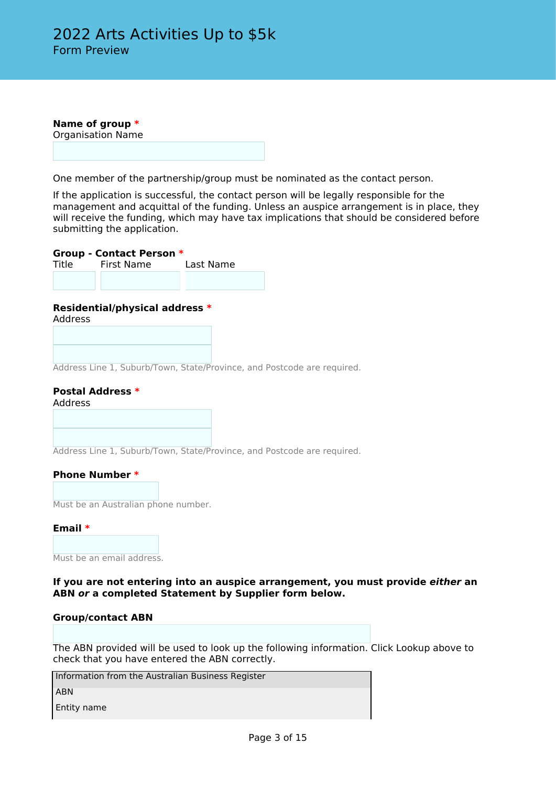**Name of group \*** Organisation Name

One member of the partnership/group must be nominated as the contact person.

If the application is successful, the contact person will be legally responsible for the management and acquittal of the funding. Unless an auspice arrangement is in place, they will receive the funding, which may have tax implications that should be considered before submitting the application.

**Group - Contact Person \*** First Name

#### **Residential/physical address \***

Address

Address Line 1, Suburb/Town, State/Province, and Postcode are required.

### **Postal Address \***

Address

Address Line 1, Suburb/Town, State/Province, and Postcode are required.

#### **Phone Number \***

Must be an Australian phone number.

#### **Email \***

Must be an email address.

#### **If you are not entering into an auspice arrangement, you must provide** *either* **an ABN** *or* **a completed Statement by Supplier form below.**

#### **Group/contact ABN**

The ABN provided will be used to look up the following information. Click Lookup above to check that you have entered the ABN correctly.

Information from the Australian Business Register

ABN

Entity name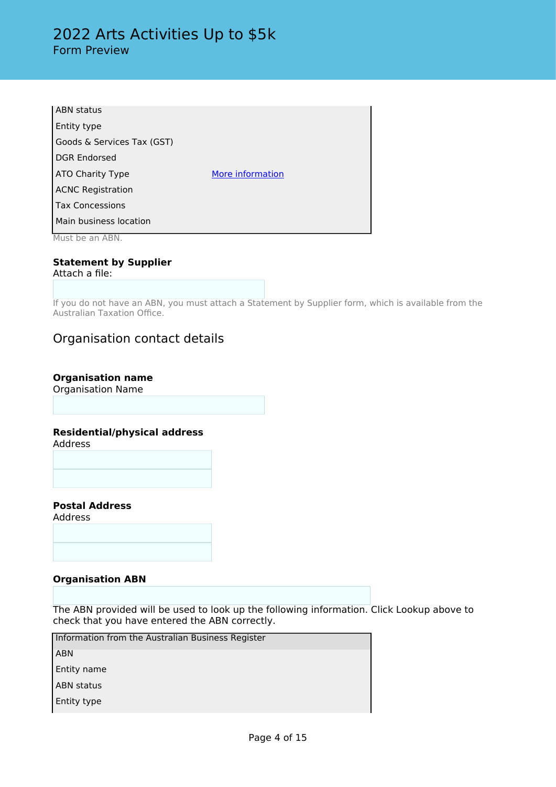| <b>ABN</b> status          |                  |
|----------------------------|------------------|
| Entity type                |                  |
| Goods & Services Tax (GST) |                  |
| <b>DGR Endorsed</b>        |                  |
| ATO Charity Type           | More information |
| <b>ACNC Registration</b>   |                  |
| <b>Tax Concessions</b>     |                  |
| Main business location     |                  |
| Must be an ABN.            |                  |

## **Statement by Supplier**

Attach a file:

If you do not have an ABN, you must attach a Statement by Supplier form, which is available from the Australian Taxation Office.

### Organisation contact details

### **Organisation name**

Organisation Name

#### **Residential/physical address**

Address

**Postal Address**

Address

#### **Organisation ABN**

The ABN provided will be used to look up the following information. Click Lookup above to check that you have entered the ABN correctly.

Information from the Australian Business Register

ABN

Entity name

 ABN status Entity type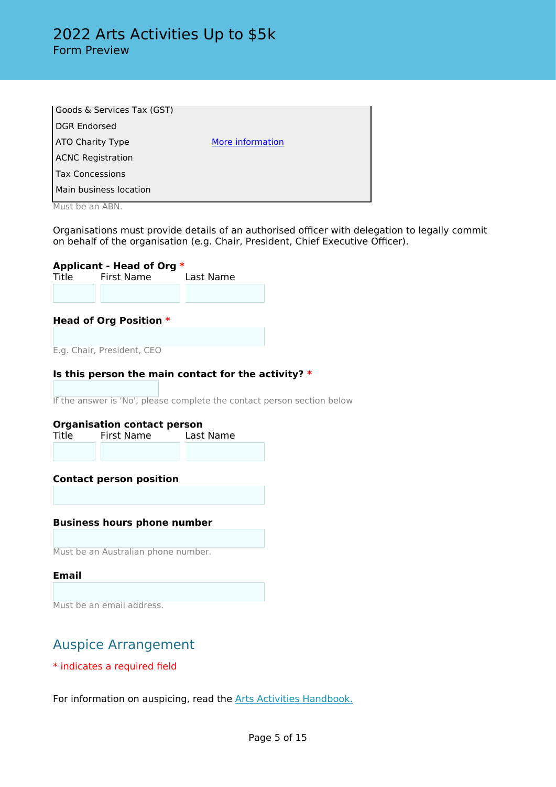| Goods & Services Tax (GST)                                |                  |
|-----------------------------------------------------------|------------------|
| <b>DGR Endorsed</b>                                       |                  |
| <b>ATO Charity Type</b>                                   | More information |
| <b>ACNC Registration</b>                                  |                  |
| <b>Tax Concessions</b>                                    |                  |
| Main business location                                    |                  |
| $M_{\odot}$ and $L_{\odot}$ are $\ddot{M}$ and $\ddot{M}$ |                  |

Must be an ABN.

Organisations must provide details of an authorised officer with delegation to legally commit on behalf of the organisation (e.g. Chair, President, Chief Executive Officer).

# **Applicant - Head of Org \***

First Name

#### **Head of Org Position \***

E.g. Chair, President, CEO

#### **Is this person the main contact for the activity? \***

If the answer is 'No', please complete the contact person section below

# **Organisation contact person**<br>Title First Name Last Name

First Name

#### **Contact person position**

#### **Business hours phone number**

Must be an Australian phone number.

#### **Email**

Must be an email address.

## Auspice Arrangement

\* indicates a required field

For information on auspicing, read the [Arts Activities Handbook.](http://www.arts.act.gov.au/funding/arts-activities-funding)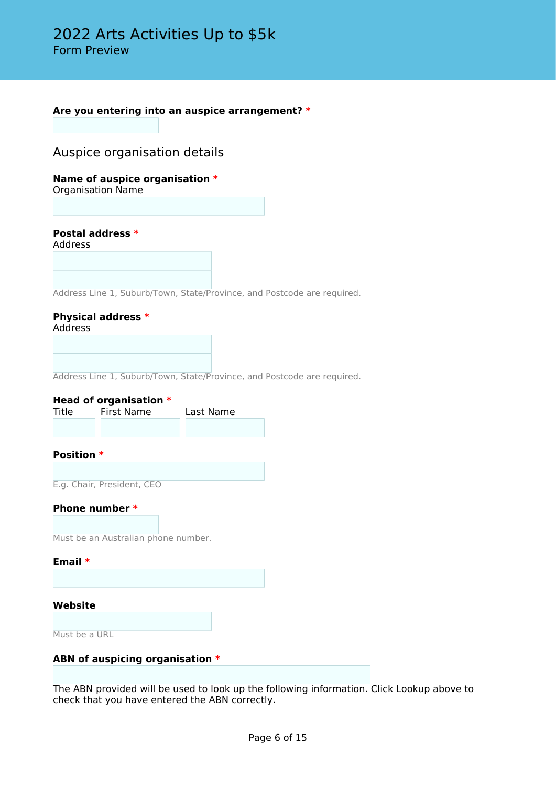**Are you entering into an auspice arrangement? \***

### Auspice organisation details

**Name of auspice organisation \***

Organisation Name

**Postal address \***

Address

Address Line 1, Suburb/Town, State/Province, and Postcode are required.

**Physical address \*** Address

Address Line 1, Suburb/Town, State/Province, and Postcode are required.

#### **Head of organisation \***

| Title | First Name | Last Name |
|-------|------------|-----------|
|       |            |           |

**Position \***

E.g. Chair, President, CEO

#### **Phone number \***

Must be an Australian phone number.

#### **Email \***

#### **Website**

Must be a URL

#### **ABN of auspicing organisation \***

The ABN provided will be used to look up the following information. Click Lookup above to check that you have entered the ABN correctly.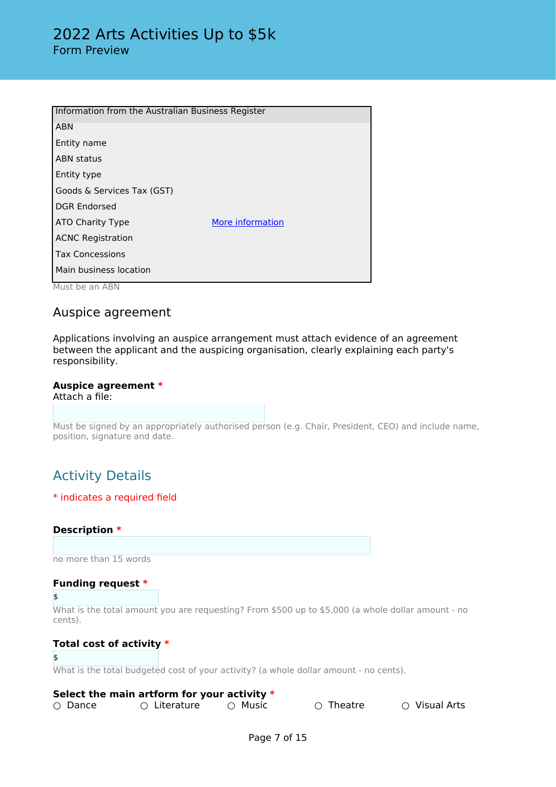| Information from the Australian Business Register |                  |
|---------------------------------------------------|------------------|
| <b>ABN</b>                                        |                  |
| Entity name                                       |                  |
| <b>ABN</b> status                                 |                  |
| Entity type                                       |                  |
| Goods & Services Tax (GST)                        |                  |
| <b>DGR Endorsed</b>                               |                  |
| ATO Charity Type                                  | More information |
| <b>ACNC Registration</b>                          |                  |
| <b>Tax Concessions</b>                            |                  |
| Main business location                            |                  |
| Must be an ABN                                    |                  |

### Auspice agreement

Applications involving an auspice arrangement must attach evidence of an agreement between the applicant and the auspicing organisation, clearly explaining each party's responsibility.

#### **Auspice agreement \*** Attach a file:

Must be signed by an appropriately authorised person (e.g. Chair, President, CEO) and include name, position, signature and date.

## Activity Details

#### \* indicates a required field

#### **Description \***

no more than 15 words

#### **Funding request \***

#### \$

What is the total amount you are requesting? From \$500 up to \$5,000 (a whole dollar amount - no cents).

#### **Total cost of activity \***

#### \$

What is the total budgeted cost of your activity? (a whole dollar amount - no cents).

#### **Select the main artform for your activity \***

○ Dance ○ C Literature ○ Music ○ O Theatre ○ Visual Arts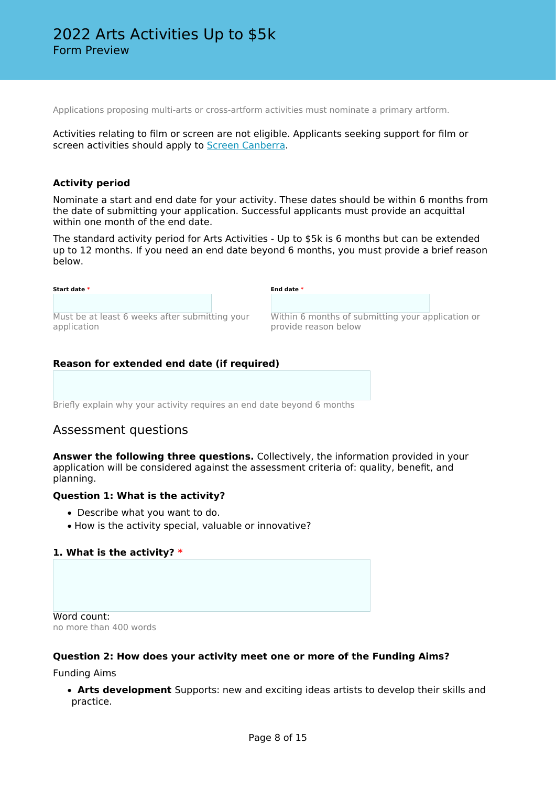Applications proposing multi-arts or cross-artform activities must nominate a primary artform.

Activities relating to film or screen are not eligible. Applicants seeking support for film or screen activities should apply to [Screen Canberra.](https://www.screencanberra.com.au/)

#### **Activity period**

Nominate a start and end date for your activity. These dates should be within 6 months from the date of submitting your application. Successful applicants must provide an acquittal within one month of the end date.

The standard activity period for Arts Activities - Up to \$5k is 6 months but can be extended up to 12 months. If you need an end date beyond 6 months, you must provide a brief reason below.

| Start date *                                   | End date *                                        |
|------------------------------------------------|---------------------------------------------------|
| Must be at least 6 weeks after submitting your | Within 6 months of submitting your application or |
| application                                    | provide reason below                              |

#### **Reason for extended end date (if required)**

Briefly explain why your activity requires an end date beyond 6 months

### Assessment questions

**Answer the following three questions.** Collectively, the information provided in your application will be considered against the assessment criteria of: quality, benefit, and planning.

#### **Question 1: What is the activity?**

- Describe what you want to do.
- How is the activity special, valuable or innovative?

#### **1. What is the activity? \***

Word count: no more than 400 words

#### **Question 2: How does your activity meet one or more of the Funding Aims?**

Funding Aims

• **Arts development** Supports: new and exciting ideas artists to develop their skills and practice.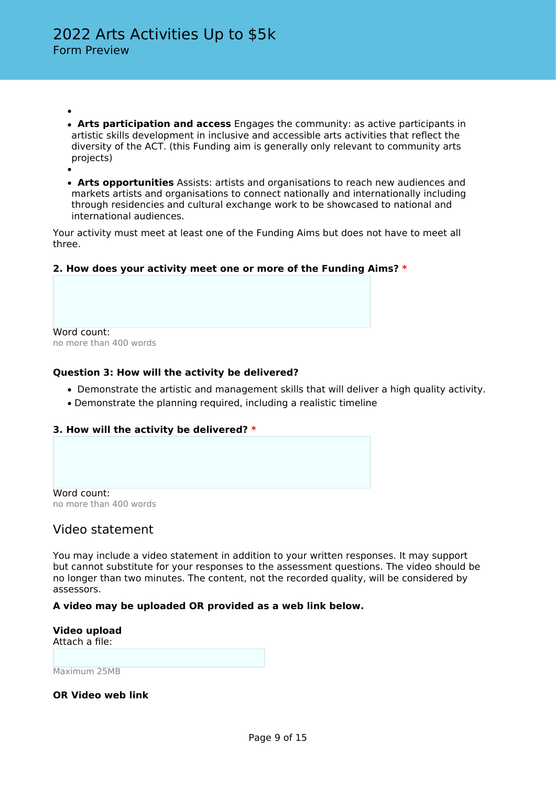- • **Arts participation and access** Engages the community: as active participants in artistic skills development in inclusive and accessible arts activities that reflect the diversity of the ACT. (this Funding aim is generally only relevant to community arts projects)
- • **Arts opportunities** Assists: artists and organisations to reach new audiences and markets artists and organisations to connect nationally and internationally including through residencies and cultural exchange work to be showcased to national and international audiences.

Your activity must meet at least one of the Funding Aims but does not have to meet all three.

#### **2. How does your activity meet one or more of the Funding Aims? \***

Word count: no more than 400 words

#### **Question 3: How will the activity be delivered?**

- Demonstrate the artistic and management skills that will deliver a high quality activity.
- Demonstrate the planning required, including a realistic timeline

#### **3. How will the activity be delivered? \***

Word count: no more than 400 words

### Video statement

You may include a video statement in addition to your written responses. It may support but cannot substitute for your responses to the assessment questions. The video should be no longer than two minutes. The content, not the recorded quality, will be considered by assessors.

#### **A video may be uploaded OR provided as a web link below.**

**Video upload** Attach a file:

Maximum 25MB

**OR Video web link**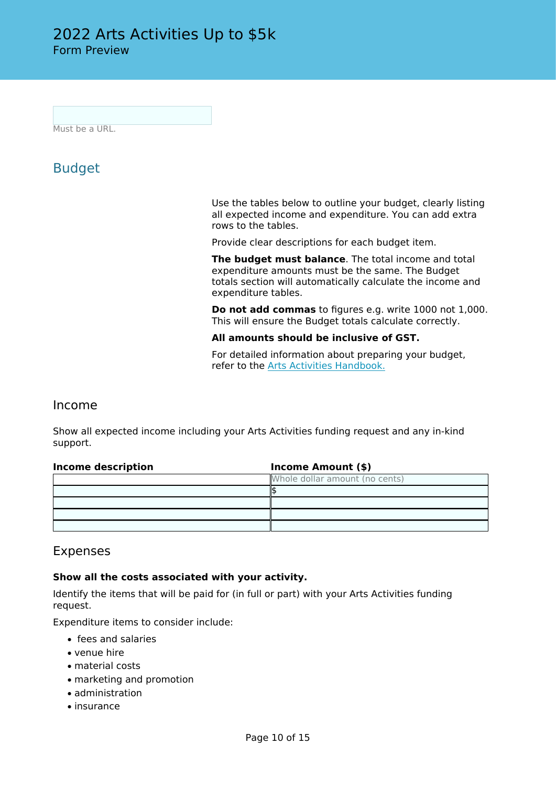Must be a URL.

## Budget

Use the tables below to outline your budget, clearly listing all expected income and expenditure. You can add extra rows to the tables.

Provide clear descriptions for each budget item.

**The budget must balance**. The total income and total expenditure amounts must be the same. The Budget totals section will automatically calculate the income and expenditure tables.

**Do not add commas** to figures e.g. write 1000 not 1,000. This will ensure the Budget totals calculate correctly.

**All amounts should be inclusive of GST.**

For detailed information about preparing your budget, refer to the [Arts Activities Handbook.](http://www.arts.act.gov.au/funding/arts-activities-funding)

### Income

Show all expected income including your Arts Activities funding request and any in-kind support.

| Income description | Income Amount (\$)             |  |
|--------------------|--------------------------------|--|
|                    | Whole dollar amount (no cents) |  |
|                    |                                |  |
|                    |                                |  |
|                    |                                |  |
|                    |                                |  |

### Expenses

#### **Show all the costs associated with your activity.**

Identify the items that will be paid for (in full or part) with your Arts Activities funding request.

Expenditure items to consider include:

- fees and salaries
- venue hire
- material costs
- marketing and promotion
- administration
- insurance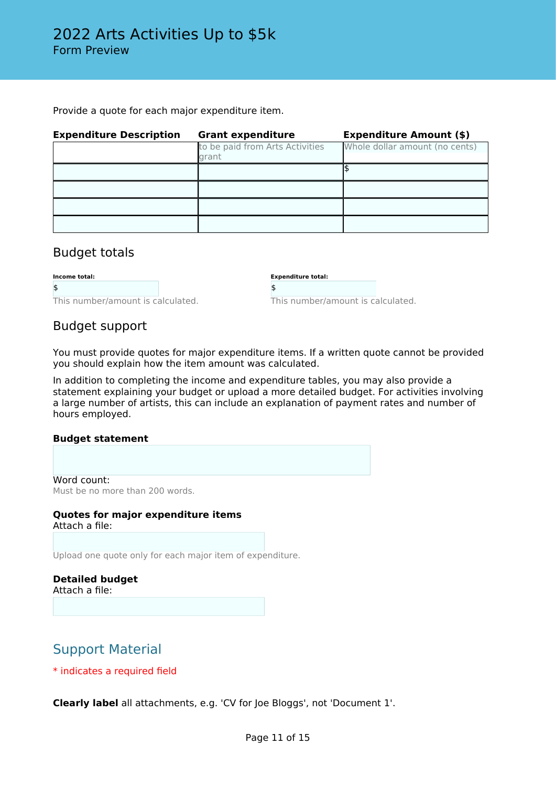Provide a quote for each major expenditure item.

| <b>Expenditure Description</b> | <b>Grant expenditure</b>                 | <b>Expenditure Amount (\$)</b> |  |
|--------------------------------|------------------------------------------|--------------------------------|--|
|                                | to be paid from Arts Activities<br>grant | Whole dollar amount (no cents) |  |
|                                |                                          |                                |  |
|                                |                                          |                                |  |
|                                |                                          |                                |  |
|                                |                                          |                                |  |

### Budget totals

| Income total:                     |  |
|-----------------------------------|--|
|                                   |  |
| This number/amount is calculated. |  |

**Expenditure total:**

This number/amount is calculated.

### Budget support

You must provide quotes for major expenditure items. If a written quote cannot be provided you should explain how the item amount was calculated.

\$

In addition to completing the income and expenditure tables, you may also provide a statement explaining your budget or upload a more detailed budget. For activities involving a large number of artists, this can include an explanation of payment rates and number of hours employed.

#### **Budget statement**

Word count: Must be no more than 200 words.

#### **Quotes for major expenditure items** Attach a file:

Upload one quote only for each major item of expenditure.

**Detailed budget** Attach a file:

## Support Material

\* indicates a required field

**Clearly label** all attachments, e.g. 'CV for Joe Bloggs', not 'Document 1'.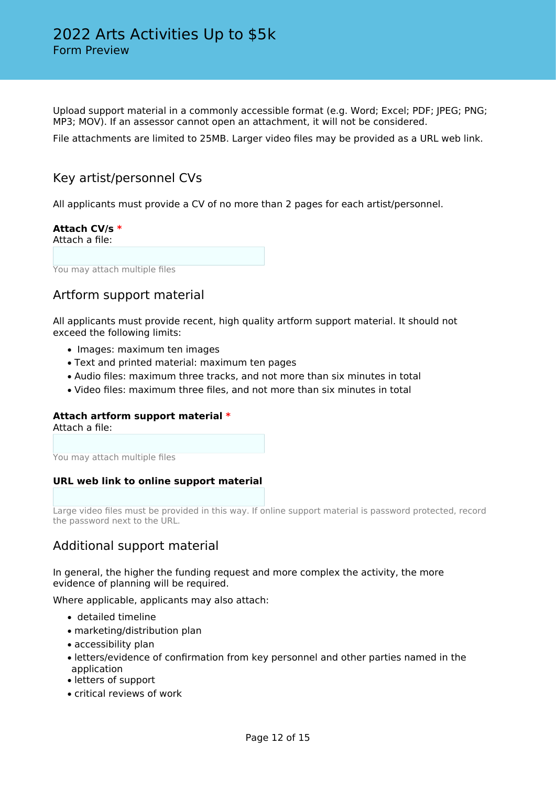Upload support material in a commonly accessible format (e.g. Word; Excel; PDF; JPEG; PNG; MP3; MOV). If an assessor cannot open an attachment, it will not be considered.

File attachments are limited to 25MB. Larger video files may be provided as a URL web link.

### Key artist/personnel CVs

All applicants must provide a CV of no more than 2 pages for each artist/personnel.

### **Attach CV/s \***

Attach a file:

You may attach multiple files

### Artform support material

All applicants must provide recent, high quality artform support material. It should not exceed the following limits:

- Images: maximum ten images
- Text and printed material: maximum ten pages
- Audio files: maximum three tracks, and not more than six minutes in total
- Video files: maximum three files, and not more than six minutes in total

### **Attach artform support material \***

Attach a file:

You may attach multiple files

#### **URL web link to online support material**

Large video files must be provided in this way. If online support material is password protected, record the password next to the URL.

### Additional support material

In general, the higher the funding request and more complex the activity, the more evidence of planning will be required.

Where applicable, applicants may also attach:

- detailed timeline
- marketing/distribution plan
- accessibility plan
- letters/evidence of confirmation from key personnel and other parties named in the application
- letters of support
- critical reviews of work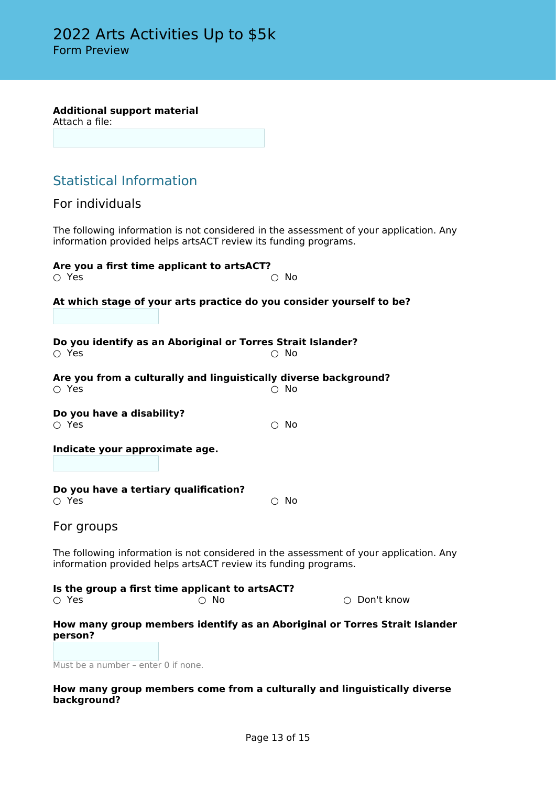#### **Additional support material**

Attach a file:

## Statistical Information

For individuals

The following information is not considered in the assessment of your application. Any information provided helps artsACT review its funding programs.

| $\circ$ Yes                                          | Are you a first time applicant to artsACT?                       | $\circ$ No                                                                             |
|------------------------------------------------------|------------------------------------------------------------------|----------------------------------------------------------------------------------------|
|                                                      |                                                                  | At which stage of your arts practice do you consider yourself to be?                   |
| $\circ$ Yes                                          | Do you identify as an Aboriginal or Torres Strait Islander?      | $\cap$ No                                                                              |
| $\circ$ Yes                                          | Are you from a culturally and linguistically diverse background? | $\cap$ No                                                                              |
| Do you have a disability?<br>$\circ$ Yes             |                                                                  | $\circ$ No                                                                             |
| Indicate your approximate age.                       |                                                                  |                                                                                        |
| Do you have a tertiary qualification?<br>$\circ$ Yes |                                                                  | $\bigcirc$ No                                                                          |
| For groups                                           |                                                                  |                                                                                        |
|                                                      | information provided helps artsACT review its funding programs.  | The following information is not considered in the assessment of your application. Any |
| $\circ$ Yes                                          | Is the group a first time applicant to artsACT?<br>$\circ$ No    | $\bigcirc$ Don't know                                                                  |
|                                                      |                                                                  | How many group members identify as an Aboriginal or Torres Strait Islander             |

**How many group members identify as an Aboriginal or Torres Strait Islander person?**

Must be a number – enter 0 if none.

#### **How many group members come from a culturally and linguistically diverse background?**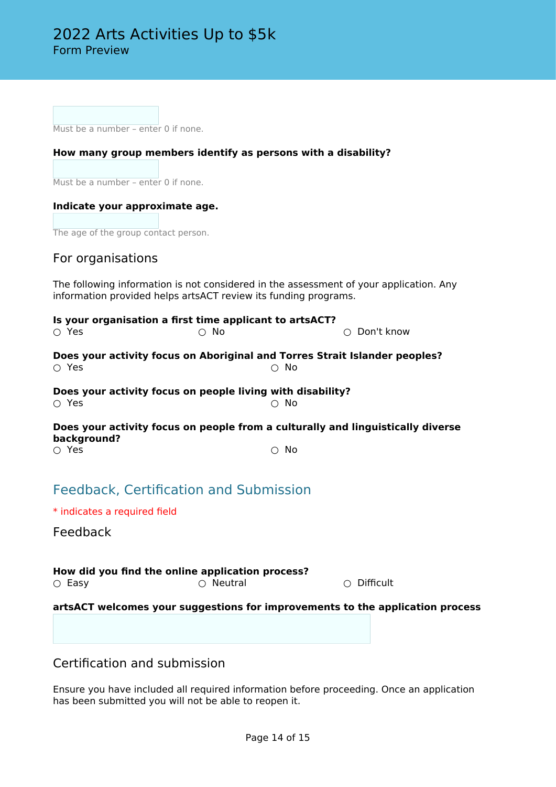Must be a number – enter 0 if none.

#### **How many group members identify as persons with a disability?**

Must be a number - enter 0 if none.

#### **Indicate your approximate age.**

The age of the group contact person.

### For organisations

The following information is not considered in the assessment of your application. Any information provided helps artsACT review its funding programs.

| Is your organisation a first time applicant to artsACT?<br>$\cap$ Yes                                 | ∩ No | $\bigcirc$ Don't know |
|-------------------------------------------------------------------------------------------------------|------|-----------------------|
| Does your activity focus on Aboriginal and Torres Strait Islander peoples?<br>$\cap$ Yes              | No   |                       |
| Does your activity focus on people living with disability?<br>∩ Yes                                   | No   |                       |
| Does your activity focus on people from a culturally and linguistically diverse<br>background?<br>Yes | No   |                       |

## Feedback, Certification and Submission

\* indicates a required field

Feedback

**How did you find the online application process?**<br>  $\bigcirc$  Easy  $\bigcirc$  Neutral ○ Neutral ○ ○ Difficult

**artsACT welcomes your suggestions for improvements to the application process**

Certification and submission

Ensure you have included all required information before proceeding. Once an application has been submitted you will not be able to reopen it.